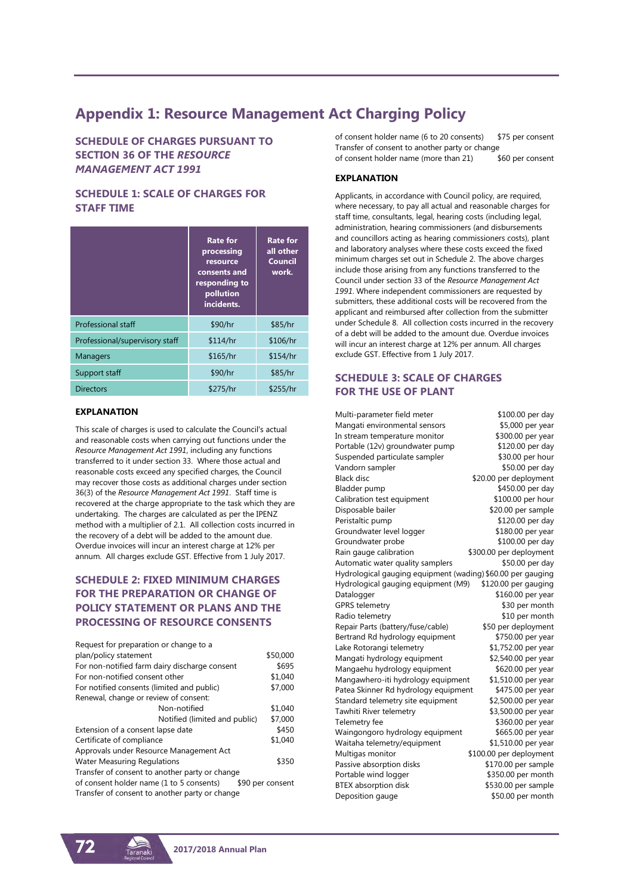## **Appendix 1: Resource Management Act Charging Policy**

**SCHEDULE OF CHARGES PURSUANT TO SECTION 36 OF THE** *RESOURCE MANAGEMENT ACT 1991*

## **SCHEDULE 1: SCALE OF CHARGES FOR STAFF TIME**

|                                | <b>Rate for</b><br>processing<br>resource<br>consents and<br>responding to<br>pollution<br>incidents. | <b>Rate for</b><br>all other<br><b>Council</b><br>work. |
|--------------------------------|-------------------------------------------------------------------------------------------------------|---------------------------------------------------------|
| <b>Professional staff</b>      | \$90/hr                                                                                               | \$85/hr                                                 |
| Professional/supervisory staff | \$114/hr                                                                                              | \$106/hr                                                |
| <b>Managers</b>                | \$165/hr                                                                                              | \$154/hr                                                |
| Support staff                  | \$90/hr                                                                                               | \$85/hr                                                 |
| <b>Directors</b>               | \$275/hr                                                                                              | \$255/hr                                                |

#### **EXPLANATION**

This scale of charges is used to calculate the Council's actual and reasonable costs when carrying out functions under the *Resource Management Act 1991*, including any functions transferred to it under section 33. Where those actual and reasonable costs exceed any specified charges, the Council may recover those costs as additional charges under section 36(3) of the *Resource Management Act 1991*. Staff time is recovered at the charge appropriate to the task which they are undertaking. The charges are calculated as per the IPENZ method with a multiplier of 2.1. All collection costs incurred in the recovery of a debt will be added to the amount due. Overdue invoices will incur an interest charge at 12% per annum. All charges exclude GST. Effective from 1 July 2017.

## **SCHEDULE 2: FIXED MINIMUM CHARGES FOR THE PREPARATION OR CHANGE OF POLICY STATEMENT OR PLANS AND THE PROCESSING OF RESOURCE CONSENTS**

| \$50,000         |
|------------------|
| \$695            |
| \$1,040          |
| \$7,000          |
|                  |
| \$1,040          |
| \$7,000          |
| \$450            |
| \$1,040          |
|                  |
| \$350            |
|                  |
| \$90 per consent |
|                  |
|                  |

of consent holder name (6 to 20 consents) \$75 per consent Transfer of consent to another party or change of consent holder name (more than 21) \$60 per consent

#### **EXPLANATION**

Applicants, in accordance with Council policy, are required, where necessary, to pay all actual and reasonable charges for staff time, consultants, legal, hearing costs (including legal, administration, hearing commissioners (and disbursements and councillors acting as hearing commissioners costs), plant and laboratory analyses where these costs exceed the fixed minimum charges set out in Schedule 2. The above charges include those arising from any functions transferred to the Council under section 33 of the *Resource Management Act 1991*. Where independent commissioners are requested by submitters, these additional costs will be recovered from the applicant and reimbursed after collection from the submitter under Schedule 8. All collection costs incurred in the recovery of a debt will be added to the amount due. Overdue invoices will incur an interest charge at 12% per annum. All charges exclude GST. Effective from 1 July 2017.

## **SCHEDULE 3: SCALE OF CHARGES FOR THE USE OF PLANT**

Multi-parameter field meter \$100.00 per day Mangati environmental sensors \$5,000 per year In stream temperature monitor \$300.00 per year Portable (12v) groundwater pump \$120.00 per day Suspended particulate sampler \$30.00 per hour Vandorn sampler \$50.00 per day Black disc  $$20.00$  per deployment Bladder pump \$450.00 per day Calibration test equipment \$100.00 per hour Disposable bailer  $$20.00$  per sample Peristaltic pump \$120.00 per day Groundwater level logger **\$180.00** per year Groundwater probe \$100.00 per day Rain gauge calibration  $$300.00$  per deployment Automatic water quality samplers \$50.00 per day Hydrological gauging equipment (wading) \$60.00 per gauging Hydrological gauging equipment (M9) \$120.00 per gauging Datalogger \$160.00 per year GPRS telemetry \$30 per month Radio telemetry **\$10** per month \$10 per month Repair Parts (battery/fuse/cable) Bertrand Rd hydrology equipment \$750.00 per year Lake Rotorangi telemetry \$1,752.00 per year Mangati hydrology equipment \$2,540.00 per year Mangaehu hydrology equipment \$620.00 per year Mangawhero-iti hydrology equipment \$1,510.00 per year Patea Skinner Rd hydrology equipment \$475.00 per year Standard telemetry site equipment \$2,500.00 per year Tawhiti River telemetry  $$3,500.00$  per year Telemetry fee \$360.00 per year Waingongoro hydrology equipment \$665.00 per year Waitaha telemetry/equipment \$1,510.00 per year Multigas monitor  $$100.00$  per deployment Passive absorption disks \$170.00 per sample Portable wind logger \$350.00 per month BTEX absorption disk \$530.00 per sample Deposition gauge \$50.00 per month

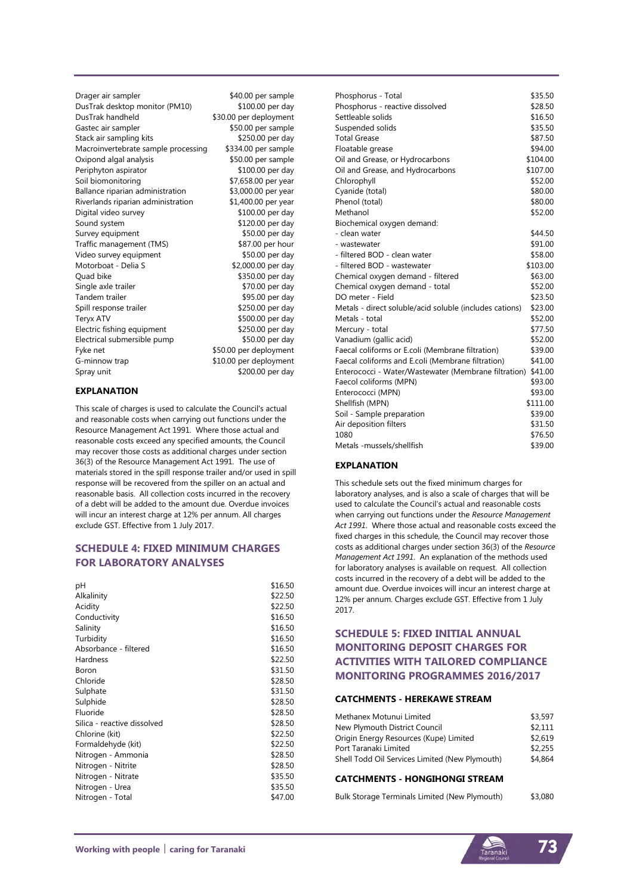Drager air sampler  $$40.00$  per sample DusTrak desktop monitor (PM10) \$100.00 per day DusTrak handheld \$30.00 per deployment Gastec air sampler \$50.00 per sample Stack air sampling kits \$250.00 per day Macroinvertebrate sample processing \$334.00 per sample Oxipond algal analysis \$50.00 per sample Periphyton aspirator  $$100.00$  per day Soil biomonitoring \$7,658.00 per year Ballance riparian administration \$3,000.00 per year Riverlands riparian administration \$1,400.00 per year Digital video survey \$100.00 per day Sound system  $$120.00$  per day<br>Survey equipment  $$50.00$  per day Survey equipment Traffic management (TMS) \$87.00 per hour Video survey equipment \$50.00 per day Motorboat - Delia S  $$2,000.00$  per day Quad bike **\$350.00** per day<br>Single axle trailer \$350.00 per day Single axle trailer Tandem trailer **\$95.00 per day**<br>
Spill response trailer \$250.00 per day Spill response trailer Teryx ATV<br>Electric fishing equipment \$250.00 per day Electric fishing equipment Electrical submersible pump \$50.00 per day Fyke net  $$50.00$  per deployment G-minnow trap  $$10.00$  per deployment Spray unit \$200.00 per day

#### **EXPLANATION**

This scale of charges is used to calculate the Council's actual and reasonable costs when carrying out functions under the Resource Management Act 1991. Where those actual and reasonable costs exceed any specified amounts, the Council may recover those costs as additional charges under section 36(3) of the Resource Management Act 1991. The use of materials stored in the spill response trailer and/or used in spill response will be recovered from the spiller on an actual and reasonable basis. All collection costs incurred in the recovery of a debt will be added to the amount due. Overdue invoices will incur an interest charge at 12% per annum. All charges exclude GST. Effective from 1 July 2017.

## **SCHEDULE 4: FIXED MINIMUM CHARGES FOR LABORATORY ANALYSES**

| рH                          | \$16.50 |
|-----------------------------|---------|
| Alkalinity                  | \$22.50 |
| Acidity                     | \$22.50 |
| Conductivity                | \$16.50 |
| Salinity                    | \$16.50 |
| Turbidity                   | \$16.50 |
| Absorbance - filtered       | \$16.50 |
| Hardness                    | \$22.50 |
| Boron                       | \$31.50 |
| Chloride                    | \$28.50 |
| Sulphate                    | \$31.50 |
| Sulphide                    | \$28.50 |
| Fluoride                    | \$28.50 |
| Silica - reactive dissolved | \$28.50 |
| Chlorine (kit)              | \$22.50 |
| Formaldehyde (kit)          | \$22.50 |
| Nitrogen - Ammonia          | \$28.50 |
| Nitrogen - Nitrite          | \$28.50 |
| Nitrogen - Nitrate          | \$35.50 |
| Nitrogen - Urea             | \$35.50 |
| Nitrogen - Total            | \$47.00 |

| Phosphorus - Total                                      | \$35.50  |
|---------------------------------------------------------|----------|
| Phosphorus - reactive dissolved                         | \$28.50  |
| Settleable solids                                       | \$16.50  |
| Suspended solids                                        | \$35.50  |
| <b>Total Grease</b>                                     | \$87.50  |
| Floatable grease                                        | \$94.00  |
| Oil and Grease, or Hydrocarbons                         | \$104.00 |
| Oil and Grease, and Hydrocarbons                        | \$107.00 |
| Chlorophyll                                             | \$52.00  |
| Cyanide (total)                                         | \$80.00  |
| Phenol (total)                                          | \$80.00  |
| Methanol                                                | \$52.00  |
| Biochemical oxygen demand:                              |          |
| - clean water                                           | \$44.50  |
| - wastewater                                            | \$91.00  |
| - filtered BOD - clean water                            | \$58.00  |
| - filtered BOD - wastewater                             | \$103.00 |
| Chemical oxygen demand - filtered                       | \$63.00  |
| Chemical oxygen demand - total                          | \$52.00  |
| DO meter - Field                                        | \$23.50  |
| Metals - direct soluble/acid soluble (includes cations) | \$23.00  |
| Metals - total                                          | \$52.00  |
| Mercury - total                                         | \$77.50  |
| Vanadium (gallic acid)                                  | \$52.00  |
| Faecal coliforms or E.coli (Membrane filtration)        | \$39.00  |
| Faecal coliforms and E.coli (Membrane filtration)       | \$41.00  |
| Enterococci - Water/Wastewater (Membrane filtration)    | \$41.00  |
| Faecol coliforms (MPN)                                  | \$93.00  |
| Enterococci (MPN)                                       | \$93.00  |
| Shellfish (MPN)                                         | \$111.00 |
| Soil - Sample preparation                               | \$39.00  |
| Air deposition filters                                  | \$31.50  |
| 1080                                                    | \$76.50  |
| Metals -mussels/shellfish                               | \$39.00  |

#### **EXPLANATION**

This schedule sets out the fixed minimum charges for laboratory analyses, and is also a scale of charges that will be used to calculate the Council's actual and reasonable costs when carrying out functions under the *Resource Management Act 1991*. Where those actual and reasonable costs exceed the fixed charges in this schedule, the Council may recover those costs as additional charges under section 36(3) of the *Resource Management Act 1991*. An explanation of the methods used for laboratory analyses is available on request. All collection costs incurred in the recovery of a debt will be added to the amount due. Overdue invoices will incur an interest charge at 12% per annum. Charges exclude GST. Effective from 1 July 2017.

## **SCHEDULE 5: FIXED INITIAL ANNUAL MONITORING DEPOSIT CHARGES FOR ACTIVITIES WITH TAILORED COMPLIANCE MONITORING PROGRAMMES 2016/2017**

#### **CATCHMENTS - HEREKAWE STREAM**

| Methanex Motunui Limited                       | \$3,597 |
|------------------------------------------------|---------|
| New Plymouth District Council                  | \$2.111 |
| Origin Energy Resources (Kupe) Limited         | \$2.619 |
| Port Taranaki Limited                          | \$2,255 |
| Shell Todd Oil Services Limited (New Plymouth) | \$4.864 |

#### **CATCHMENTS - HONGIHONGI STREAM**

| Bulk Storage Terminals Limited (New Plymouth) | \$3,080 |
|-----------------------------------------------|---------|
|-----------------------------------------------|---------|

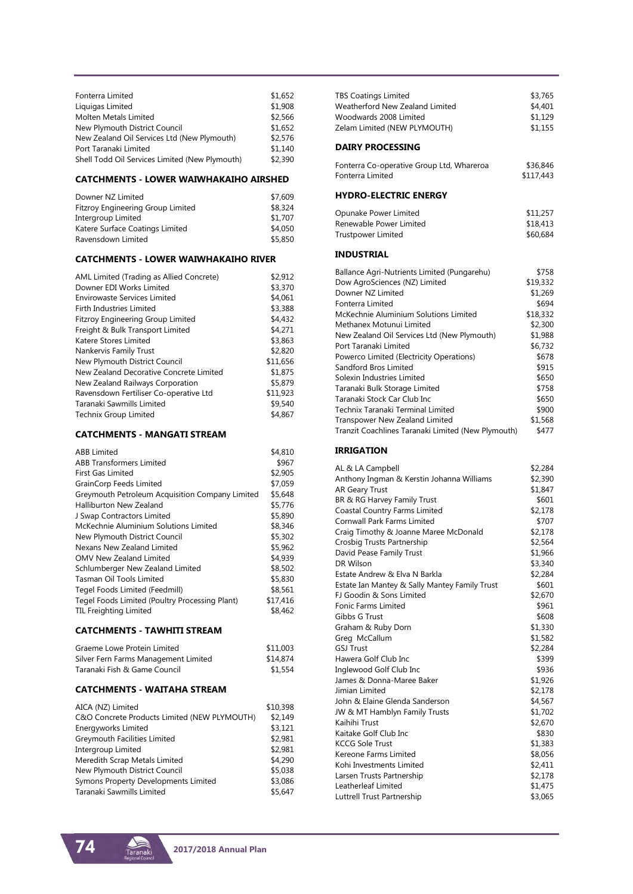| Fonterra Limited                               | \$1,652 |
|------------------------------------------------|---------|
|                                                | \$1,908 |
| Liquigas Limited                               |         |
| Molten Metals Limited                          | \$2.566 |
| New Plymouth District Council                  | \$1,652 |
| New Zealand Oil Services Ltd (New Plymouth)    | \$2.576 |
| Port Taranaki Limited                          | \$1,140 |
| Shell Todd Oil Services Limited (New Plymouth) | \$2,390 |

#### **CATCHMENTS - LOWER WAIWHAKAIHO AIRSHED**

| Downer NZ Limited                 | \$7,609 |
|-----------------------------------|---------|
| Fitzroy Engineering Group Limited | \$8,324 |
| Intergroup Limited                | \$1,707 |
| Katere Surface Coatings Limited   | \$4,050 |
| Ravensdown Limited                | \$5,850 |

#### **CATCHMENTS - LOWER WAIWHAKAIHO RIVER**

| AML Limited (Trading as Allied Concrete) | \$2,912  |
|------------------------------------------|----------|
| Downer EDI Works Limited                 | \$3,370  |
| Envirowaste Services Limited             | \$4,061  |
| Firth Industries Limited                 | \$3,388  |
| <b>Fitzroy Engineering Group Limited</b> | \$4,432  |
| Freight & Bulk Transport Limited         | \$4,271  |
| Katere Stores Limited                    | \$3,863  |
| Nankervis Family Trust                   | \$2,820  |
| New Plymouth District Council            | \$11.656 |
| New Zealand Decorative Concrete Limited  | \$1,875  |
| New Zealand Railways Corporation         | \$5,879  |
| Ravensdown Fertiliser Co-operative Ltd   | \$11,923 |
| Taranaki Sawmills Limited                | \$9,540  |
| <b>Technix Group Limited</b>             | \$4,867  |

#### **CATCHMENTS - MANGATI STREAM**

| <b>ABB Limited</b>                              | \$4,810  |
|-------------------------------------------------|----------|
| <b>ABB Transformers Limited</b>                 | \$967    |
| <b>First Gas Limited</b>                        | \$2,905  |
| <b>GrainCorp Feeds Limited</b>                  | \$7.059  |
| Greymouth Petroleum Acquisition Company Limited | \$5,648  |
| <b>Halliburton New Zealand</b>                  | \$5,776  |
| J Swap Contractors Limited                      | \$5,890  |
| McKechnie Aluminium Solutions Limited           | \$8,346  |
| New Plymouth District Council                   | \$5,302  |
| Nexans New Zealand Limited                      | \$5,962  |
| OMV New Zealand Limited                         | \$4,939  |
| Schlumberger New Zealand Limited                | \$8.502  |
| Tasman Oil Tools Limited                        | \$5,830  |
| Tegel Foods Limited (Feedmill)                  | \$8,561  |
| Tegel Foods Limited (Poultry Processing Plant)  | \$17,416 |
| <b>TIL Freighting Limited</b>                   | \$8,462  |
|                                                 |          |

#### **CATCHMENTS - TAWHITI STREAM**

| Graeme Lowe Protein Limited          | \$11,003 |
|--------------------------------------|----------|
| Silver Fern Farms Management Limited | \$14,874 |
| Taranaki Fish & Game Council         | \$1,554  |

#### **CATCHMENTS - WAITAHA STREAM**

| AICA (NZ) Limited                            | \$10,398 |
|----------------------------------------------|----------|
| C&O Concrete Products Limited (NEW PLYMOUTH) | \$2.149  |
| Energyworks Limited                          | \$3.121  |
| Greymouth Facilities Limited                 | \$2,981  |
| Intergroup Limited                           | \$2.981  |
| Meredith Scrap Metals Limited                | \$4,290  |
| New Plymouth District Council                | \$5,038  |
| Symons Property Developments Limited         | \$3,086  |
| Taranaki Sawmills Limited                    | \$5.647  |

| <b>DAIRY PROCESSING</b>         |         |
|---------------------------------|---------|
| Zelam Limited (NEW PLYMOUTH)    | \$1.155 |
| Woodwards 2008 Limited          | \$1.129 |
| Weatherford New Zealand Limited | \$4,401 |
| <b>TBS Coatings Limited</b>     | \$3,765 |
|                                 |         |

| Fonterra Co-operative Group Ltd, Whareroa | \$36,846  |
|-------------------------------------------|-----------|
| Fonterra Limited                          | \$117,443 |

#### **HYDRO-ELECTRIC ENERGY**

| Opunake Power Limited   | \$11,257 |
|-------------------------|----------|
| Renewable Power Limited | \$18,413 |
| Trustpower Limited      | \$60,684 |

#### **INDUSTRIAL**

| Ballance Agri-Nutrients Limited (Pungarehu)        | \$758    |
|----------------------------------------------------|----------|
| Dow AgroSciences (NZ) Limited                      | \$19,332 |
| Downer NZ Limited                                  | \$1,269  |
| Fonterra Limited                                   | \$694    |
| McKechnie Aluminium Solutions Limited              | \$18,332 |
| Methanex Motunui Limited                           | \$2,300  |
| New Zealand Oil Services Ltd (New Plymouth)        | \$1,988  |
| Port Taranaki Limited                              | \$6,732  |
| Powerco Limited (Electricity Operations)           | \$678    |
| Sandford Bros Limited                              | \$915    |
| Solexin Industries Limited                         | \$650    |
| Taranaki Bulk Storage Limited                      | \$758    |
| Taranaki Stock Car Club Inc                        | \$650    |
| Technix Taranaki Terminal Limited                  | \$900    |
| Transpower New Zealand Limited                     | \$1,568  |
| Tranzit Coachlines Taranaki Limited (New Plymouth) | \$477    |

#### **IRRIGATION**

| AL & LA Campbell                              | \$2,284 |
|-----------------------------------------------|---------|
| Anthony Ingman & Kerstin Johanna Williams     | \$2,390 |
| <b>AR Geary Trust</b>                         | \$1,847 |
| BR & RG Harvey Family Trust                   | \$601   |
| Coastal Country Farms Limited                 | \$2,178 |
| Cornwall Park Farms Limited                   | \$707   |
| Craig Timothy & Joanne Maree McDonald         | \$2,178 |
| Crosbig Trusts Partnership                    | \$2,564 |
| David Pease Family Trust                      | \$1,966 |
| DR Wilson                                     | \$3,340 |
| Estate Andrew & Elva N Barkla                 | \$2,284 |
| Estate Ian Mantey & Sally Mantey Family Trust | \$601   |
| FJ Goodin & Sons Limited                      | \$2,670 |
| <b>Fonic Farms Limited</b>                    | \$961   |
| Gibbs G Trust                                 | \$608   |
| Graham & Ruby Dorn                            | \$1,330 |
| Greg McCallum                                 | \$1,582 |
| <b>GSJ Trust</b>                              | \$2,284 |
| Hawera Golf Club Inc                          | \$399   |
| Inglewood Golf Club Inc                       | \$936   |
| James & Donna-Maree Baker                     | \$1,926 |
| Jimian Limited                                | \$2,178 |
| John & Elaine Glenda Sanderson                | \$4,567 |
| JW & MT Hamblyn Family Trusts                 | \$1,702 |
| Kaihihi Trust                                 | \$2,670 |
| Kaitake Golf Club Inc                         | \$830   |
| <b>KCCG Sole Trust</b>                        | \$1,383 |
| Kereone Farms Limited                         | \$8,056 |
| Kohi Investments Limited                      | \$2,411 |
| Larsen Trusts Partnership                     | \$2,178 |
| Leatherleaf Limited                           | \$1,475 |
| Luttrell Trust Partnership                    | \$3,065 |
|                                               |         |

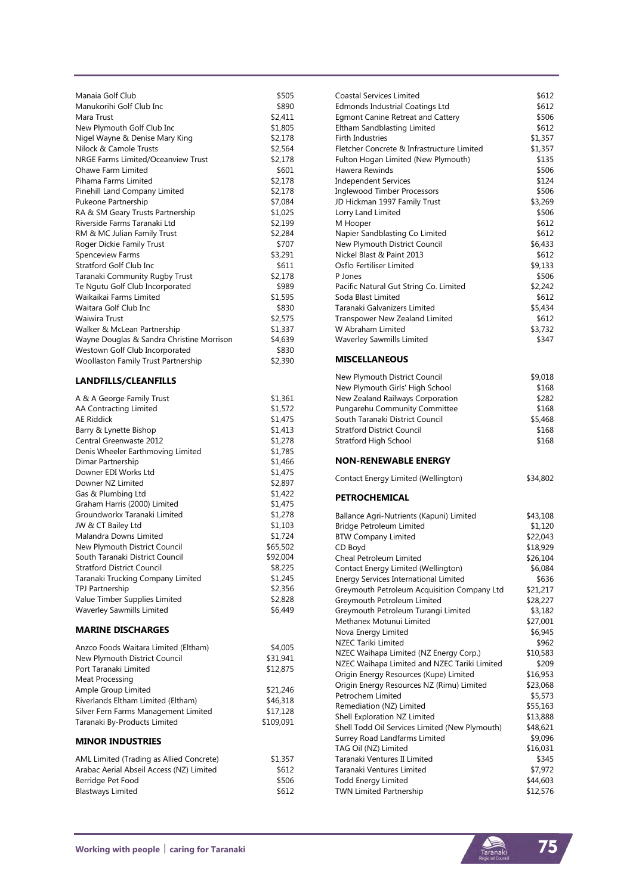| Manaja Golf Club                           | \$505   |
|--------------------------------------------|---------|
| Manukorihi Golf Club Inc                   | \$890   |
| Mara Trust                                 | \$2,411 |
| New Plymouth Golf Club Inc                 | \$1,805 |
| Nigel Wayne & Denise Mary King             | \$2.178 |
| Nilock & Camole Trusts                     | \$2,564 |
| NRGE Farms Limited/Oceanview Trust         | \$2,178 |
| Ohawe Farm Limited                         | \$601   |
| Pihama Farms Limited                       | \$2,178 |
| Pinehill Land Company Limited              | \$2.178 |
| Pukeone Partnership                        | \$7,084 |
| RA & SM Geary Trusts Partnership           | \$1,025 |
| Riverside Farms Taranaki Ltd               | \$2,199 |
| RM & MC Julian Family Trust                | \$2,284 |
| Roger Dickie Family Trust                  | \$707   |
| <b>Spenceview Farms</b>                    | \$3,291 |
| Stratford Golf Club Inc                    | \$611   |
| Taranaki Community Rugby Trust             | \$2.178 |
| Te Ngutu Golf Club Incorporated            | \$989   |
| Waikaikai Farms Limited                    | \$1,595 |
| Waitara Golf Club Inc                      | \$830   |
| <b>Waiwira Trust</b>                       | \$2,575 |
| Walker & McLean Partnership                | \$1,337 |
| Wayne Douglas & Sandra Christine Morrison  | \$4,639 |
| Westown Golf Club Incorporated             | \$830   |
| <b>Woollaston Family Trust Partnership</b> | \$2,390 |
|                                            |         |

## **LANDFILLS/CLEANFILLS**

| A & A George Family Trust            | \$1,361   |
|--------------------------------------|-----------|
| <b>AA Contracting Limited</b>        | \$1,572   |
| <b>AE Riddick</b>                    | \$1,475   |
| Barry & Lynette Bishop               | \$1,413   |
| Central Greenwaste 2012              | \$1,278   |
| Denis Wheeler Earthmoving Limited    | \$1,785   |
| Dimar Partnership                    | \$1,466   |
| Downer EDI Works Ltd                 | \$1,475   |
| Downer NZ Limited                    | \$2,897   |
| Gas & Plumbing Ltd                   | \$1,422   |
| Graham Harris (2000) Limited         | \$1,475   |
| Groundworkx Taranaki Limited         | \$1,278   |
| JW & CT Bailey Ltd                   | \$1,103   |
| Malandra Downs Limited               | \$1,724   |
| New Plymouth District Council        | \$65,502  |
| South Taranaki District Council      | \$92,004  |
| <b>Stratford District Council</b>    | \$8,225   |
| Taranaki Trucking Company Limited    | \$1,245   |
| <b>TPJ Partnership</b>               | \$2,356   |
| Value Timber Supplies Limited        | \$2,828   |
| <b>Waverley Sawmills Limited</b>     | \$6,449   |
| <b>MARINE DISCHARGES</b>             |           |
| Anzco Foods Waitara Limited (Eltham) | \$4,005   |
| New Plymouth District Council        | \$31,941  |
| Port Taranaki Limited                | \$12,875  |
| Meat Processing                      |           |
| Ample Group Limited                  | \$21,246  |
| Riverlands Eltham Limited (Eltham)   | \$46,318  |
| Silver Fern Farms Management Limited | \$17,128  |
| Taranaki By-Products Limited         | \$109,091 |

### **MINOR INDUSTRIES**

Taranaki By-Products Limited

| AML Limited (Trading as Allied Concrete) | \$1,357 |
|------------------------------------------|---------|
| Arabac Aerial Abseil Access (NZ) Limited | \$612   |
| Berridge Pet Food                        | \$506   |
| <b>Blastways Limited</b>                 | \$612   |

| Coastal Services Limited                   | \$612   |
|--------------------------------------------|---------|
| <b>Edmonds Industrial Coatings Ltd</b>     | \$612   |
| Egmont Canine Retreat and Cattery          | \$506   |
| Eltham Sandblasting Limited                | \$612   |
| <b>Firth Industries</b>                    | \$1,357 |
| Fletcher Concrete & Infrastructure Limited | \$1,357 |
| Fulton Hogan Limited (New Plymouth)        | \$135   |
| Hawera Rewinds                             | \$506   |
| Independent Services                       | \$124   |
| <b>Inglewood Timber Processors</b>         | \$506   |
| JD Hickman 1997 Family Trust               | \$3,269 |
| Lorry Land Limited                         | \$506   |
| M Hooper                                   | \$612   |
| Napier Sandblasting Co Limited             | \$612   |
| New Plymouth District Council              | \$6,433 |
| Nickel Blast & Paint 2013                  | \$612   |
| Osflo Fertiliser Limited                   | \$9,133 |
| P Iones                                    | \$506   |
| Pacific Natural Gut String Co. Limited     | \$2,242 |
| Soda Blast Limited                         | \$612   |
| Taranaki Galvanizers Limited               | \$5,434 |
| Transpower New Zealand Limited             | \$612   |
| W Abraham Limited                          | \$3,732 |
| Waverley Sawmills Limited                  | \$347   |
|                                            |         |

### **MISCELLANEOUS**

| New Plymouth District Council     | \$9,018 |
|-----------------------------------|---------|
| New Plymouth Girls' High School   | \$168   |
| New Zealand Railways Corporation  | \$282   |
| Pungarehu Community Committee     | \$168   |
| South Taranaki District Council   | \$5,468 |
| <b>Stratford District Council</b> | \$168   |
| Stratford High School             | \$168   |
|                                   |         |

#### **NON-RENEWABLE ENERGY**

|  |  | Contact Energy Limited (Wellington) |
|--|--|-------------------------------------|
|--|--|-------------------------------------|

### **PETROCHEMICAL**

| Ballance Agri-Nutrients (Kapuni) Limited       |                                             | \$43,108 |
|------------------------------------------------|---------------------------------------------|----------|
| Bridge Petroleum Limited                       |                                             | \$1,120  |
| <b>BTW Company Limited</b>                     |                                             | \$22,043 |
| CD Boyd                                        |                                             | \$18,929 |
| Cheal Petroleum Limited                        |                                             | \$26,104 |
| Contact Energy Limited (Wellington)            |                                             | \$6,084  |
| <b>Energy Services International Limited</b>   |                                             | \$636    |
|                                                | Greymouth Petroleum Acquisition Company Ltd | \$21,217 |
| Greymouth Petroleum Limited                    |                                             | \$28,227 |
| Greymouth Petroleum Turangi Limited            |                                             | \$3,182  |
| Methanex Motunui Limited                       |                                             | \$27,001 |
| Nova Energy Limited                            |                                             | \$6,945  |
| <b>NZEC Tariki Limited</b>                     |                                             | \$962    |
| NZEC Waihapa Limited (NZ Energy Corp.)         |                                             | \$10,583 |
| NZEC Waihapa Limited and NZEC Tariki Limited   |                                             | \$209    |
| Origin Energy Resources (Kupe) Limited         |                                             | \$16,953 |
| Origin Energy Resources NZ (Rimu) Limited      |                                             | \$23,068 |
| Petrochem Limited                              |                                             | \$5,573  |
| Remediation (NZ) Limited                       |                                             | \$55,163 |
| Shell Exploration NZ Limited                   |                                             | \$13,888 |
| Shell Todd Oil Services Limited (New Plymouth) |                                             | \$48,621 |
| Surrey Road Landfarms Limited                  |                                             | \$9,096  |
| TAG Oil (NZ) Limited                           |                                             | \$16,031 |
| Taranaki Ventures II Limited                   |                                             | \$345    |
| Taranaki Ventures Limited                      |                                             | \$7,972  |
| Todd Energy Limited                            |                                             | \$44,603 |
| <b>TWN Limited Partnership</b>                 |                                             | \$12,576 |
|                                                |                                             |          |





 $$34,802$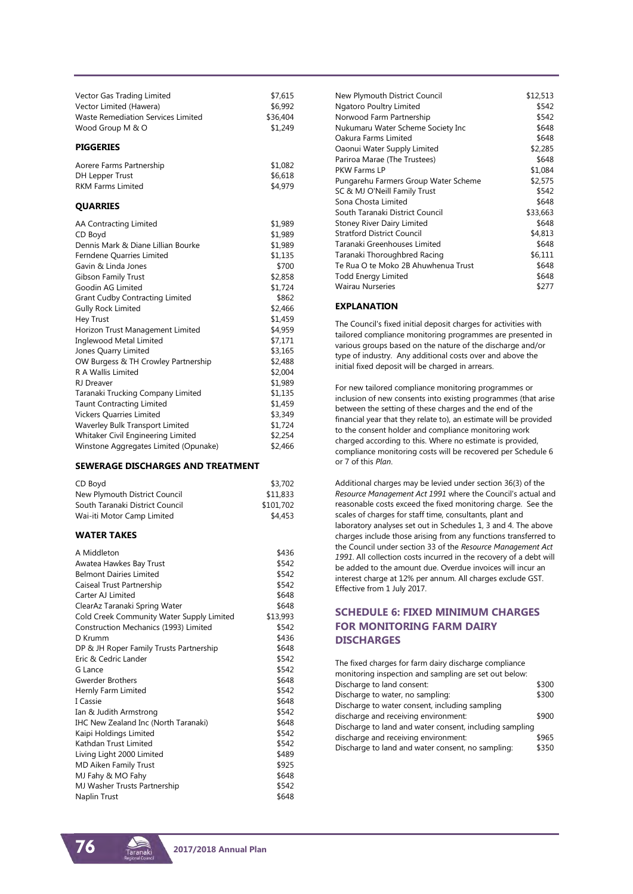| Vector Gas Trading Limited<br>Vector Limited (Hawera)<br>Waste Remediation Services Limited<br>Wood Group M & O | \$7,615<br>\$6,992<br>\$36,404<br>\$1,249 |
|-----------------------------------------------------------------------------------------------------------------|-------------------------------------------|
| <b>PIGGERIES</b>                                                                                                |                                           |
| Aorere Farms Partnership<br>DH Lepper Trust<br><b>RKM Farms Limited</b>                                         | \$1,082<br>\$6.618<br>\$4,979             |
| <b>QUARRIES</b>                                                                                                 |                                           |
| AA Contracting Limited                                                                                          | \$1,989                                   |

|                                        | ッエルシン   |
|----------------------------------------|---------|
| CD Boyd                                | \$1,989 |
| Dennis Mark & Diane Lillian Bourke     | \$1,989 |
| Ferndene Quarries Limited              | \$1,135 |
| Gavin & Linda Jones                    | \$700   |
| Gibson Family Trust                    | \$2,858 |
| Goodin AG Limited                      | \$1,724 |
| <b>Grant Cudby Contracting Limited</b> | \$862   |
| <b>Gully Rock Limited</b>              | \$2,466 |
| Hey Trust                              | \$1,459 |
| Horizon Trust Management Limited       | \$4,959 |
| Inglewood Metal Limited                | \$7,171 |
| Jones Quarry Limited                   | \$3,165 |
| OW Burgess & TH Crowley Partnership    | \$2,488 |
| R A Wallis Limited                     | \$2,004 |
| <b>RJ</b> Dreaver                      | \$1,989 |
| Taranaki Trucking Company Limited      | \$1,135 |
| <b>Taunt Contracting Limited</b>       | \$1,459 |
| <b>Vickers Quarries Limited</b>        | \$3,349 |
| Waverley Bulk Transport Limited        | \$1,724 |
| Whitaker Civil Engineering Limited     | \$2,254 |
| Winstone Aggregates Limited (Opunake)  | \$2,466 |

#### **SEWERAGE DISCHARGES AND TREATMENT**

| CD Bovd                         | \$3,702   |
|---------------------------------|-----------|
| New Plymouth District Council   | \$11,833  |
| South Taranaki District Council | \$101,702 |
| Wai-iti Motor Camp Limited      | \$4,453   |

#### **WATER TAKES**

| A Middleton                               | \$436    |
|-------------------------------------------|----------|
| Awatea Hawkes Bay Trust                   | \$542    |
| <b>Belmont Dairies Limited</b>            | \$542    |
| Caiseal Trust Partnership                 | \$542    |
| Carter AJ Limited                         | \$648    |
| ClearAz Taranaki Spring Water             | \$648    |
| Cold Creek Community Water Supply Limited | \$13,993 |
| Construction Mechanics (1993) Limited     | \$542    |
| D Krumm                                   | \$436    |
| DP & JH Roper Family Trusts Partnership   | \$648    |
| Eric & Cedric Lander                      | \$542    |
| G Lance                                   | \$542    |
| <b>Gwerder Brothers</b>                   | \$648    |
| Hernly Farm Limited                       | \$542    |
| I Cassie                                  | \$648    |
| Ian & Judith Armstrong                    | \$542    |
| IHC New Zealand Inc (North Taranaki)      | \$648    |
| Kaipi Holdings Limited                    | \$542    |
| Kathdan Trust Limited                     | \$542    |
| Living Light 2000 Limited                 | \$489    |
| <b>MD Aiken Family Trust</b>              | \$925    |
| MJ Fahy & MO Fahy                         | \$648    |
| MJ Washer Trusts Partnership              | \$542    |
| Naplin Trust                              | \$648    |
|                                           |          |

| New Plymouth District Council        | \$12,513 |
|--------------------------------------|----------|
| Ngatoro Poultry Limited              | \$542    |
| Norwood Farm Partnership             | \$542    |
| Nukumaru Water Scheme Society Inc    | \$648    |
| Oakura Farms Limited                 | \$648    |
| Oaonui Water Supply Limited          | \$2,285  |
| Pariroa Marae (The Trustees)         | \$648    |
| PKW Farms I P                        | \$1,084  |
| Pungarehu Farmers Group Water Scheme | \$2,575  |
| SC & MJ O'Neill Family Trust         | \$542    |
| Sona Chosta Limited                  | \$648    |
| South Taranaki District Council      | \$33,663 |
| Stoney River Dairy Limited           | \$648    |
| <b>Stratford District Council</b>    | \$4,813  |
| Taranaki Greenhouses Limited         | \$648    |
| Taranaki Thoroughbred Racing         | \$6,111  |
| Te Rua O te Moko 2B Ahuwhenua Trust  | \$648    |
| Todd Energy Limited                  | \$648    |
| <b>Wairau Nurseries</b>              | \$277    |
|                                      |          |

#### **EXPLANATION**

The Council's fixed initial deposit charges for activities with tailored compliance monitoring programmes are presented in various groups based on the nature of the discharge and/or type of industry. Any additional costs over and above the initial fixed deposit will be charged in arrears.

For new tailored compliance monitoring programmes or inclusion of new consents into existing programmes (that arise between the setting of these charges and the end of the financial year that they relate to), an estimate will be provided to the consent holder and compliance monitoring work charged according to this. Where no estimate is provided, compliance monitoring costs will be recovered per Schedule 6 or 7 of this *Plan*.

Additional charges may be levied under section 36(3) of the *Resource Management Act 1991* where the Council's actual and reasonable costs exceed the fixed monitoring charge. See the scales of charges for staff time, consultants, plant and laboratory analyses set out in Schedules 1, 3 and 4. The above charges include those arising from any functions transferred to the Council under section 33 of the *Resource Management Act 1991*. All collection costs incurred in the recovery of a debt will be added to the amount due. Overdue invoices will incur an interest charge at 12% per annum. All charges exclude GST. Effective from 1 July 2017.

## **SCHEDULE 6: FIXED MINIMUM CHARGES FOR MONITORING FARM DAIRY DISCHARGES**

| The fixed charges for farm dairy discharge compliance   |       |
|---------------------------------------------------------|-------|
| monitoring inspection and sampling are set out below:   |       |
| Discharge to land consent:                              | \$300 |
| Discharge to water, no sampling:                        | \$300 |
| Discharge to water consent, including sampling          |       |
| discharge and receiving environment:                    | \$900 |
| Discharge to land and water consent, including sampling |       |
| discharge and receiving environment:                    | \$965 |
| Discharge to land and water consent, no sampling:       | \$350 |
|                                                         |       |

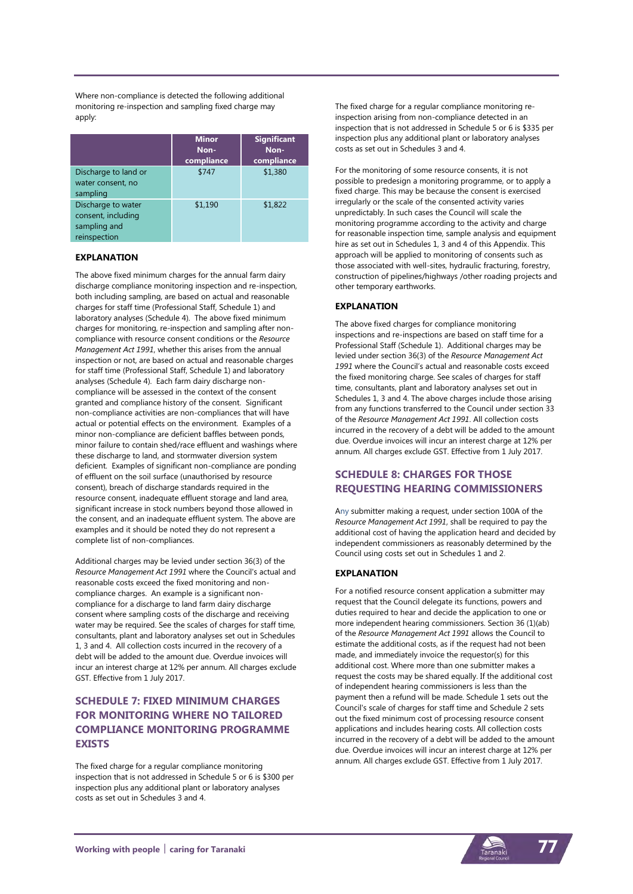Where non-compliance is detected the following additional monitoring re-inspection and sampling fixed charge may apply:

|                                                                          | <b>Minor</b><br>Non-<br>compliance | <b>Significant</b><br>Non-<br>compliance |
|--------------------------------------------------------------------------|------------------------------------|------------------------------------------|
| Discharge to land or<br>water consent, no<br>sampling                    | \$747                              | \$1,380                                  |
| Discharge to water<br>consent, including<br>sampling and<br>reinspection | \$1,190                            | \$1,822                                  |

#### **EXPLANATION**

The above fixed minimum charges for the annual farm dairy discharge compliance monitoring inspection and re-inspection, both including sampling, are based on actual and reasonable charges for staff time (Professional Staff, Schedule 1) and laboratory analyses (Schedule 4). The above fixed minimum charges for monitoring, re-inspection and sampling after noncompliance with resource consent conditions or the *Resource Management Act 1991*, whether this arises from the annual inspection or not, are based on actual and reasonable charges for staff time (Professional Staff, Schedule 1) and laboratory analyses (Schedule 4). Each farm dairy discharge noncompliance will be assessed in the context of the consent granted and compliance history of the consent. Significant non-compliance activities are non-compliances that will have actual or potential effects on the environment. Examples of a minor non-compliance are deficient baffles between ponds, minor failure to contain shed/race effluent and washings where these discharge to land, and stormwater diversion system deficient. Examples of significant non-compliance are ponding of effluent on the soil surface (unauthorised by resource consent), breach of discharge standards required in the resource consent, inadequate effluent storage and land area, significant increase in stock numbers beyond those allowed in the consent, and an inadequate effluent system. The above are examples and it should be noted they do not represent a complete list of non-compliances.

Additional charges may be levied under section 36(3) of the *Resource Management Act 1991* where the Council's actual and reasonable costs exceed the fixed monitoring and noncompliance charges. An example is a significant noncompliance for a discharge to land farm dairy discharge consent where sampling costs of the discharge and receiving water may be required. See the scales of charges for staff time, consultants, plant and laboratory analyses set out in Schedules 1, 3 and 4. All collection costs incurred in the recovery of a debt will be added to the amount due. Overdue invoices will incur an interest charge at 12% per annum. All charges exclude GST. Effective from 1 July 2017.

## **SCHEDULE 7: FIXED MINIMUM CHARGES FOR MONITORING WHERE NO TAILORED COMPLIANCE MONITORING PROGRAMME EXISTS**

The fixed charge for a regular compliance monitoring inspection that is not addressed in Schedule 5 or 6 is \$300 per inspection plus any additional plant or laboratory analyses costs as set out in Schedules 3 and 4.

The fixed charge for a regular compliance monitoring reinspection arising from non-compliance detected in an inspection that is not addressed in Schedule 5 or 6 is \$335 per inspection plus any additional plant or laboratory analyses costs as set out in Schedules 3 and 4.

For the monitoring of some resource consents, it is not possible to predesign a monitoring programme, or to apply a fixed charge. This may be because the consent is exercised irregularly or the scale of the consented activity varies unpredictably. In such cases the Council will scale the monitoring programme according to the activity and charge for reasonable inspection time, sample analysis and equipment hire as set out in Schedules 1, 3 and 4 of this Appendix. This approach will be applied to monitoring of consents such as those associated with well-sites, hydraulic fracturing, forestry, construction of pipelines/highways /other roading projects and other temporary earthworks.

#### **EXPLANATION**

The above fixed charges for compliance monitoring inspections and re-inspections are based on staff time for a Professional Staff (Schedule 1). Additional charges may be levied under section 36(3) of the *Resource Management Act 1991* where the Council's actual and reasonable costs exceed the fixed monitoring charge. See scales of charges for staff time, consultants, plant and laboratory analyses set out in Schedules 1, 3 and 4. The above charges include those arising from any functions transferred to the Council under section 33 of the *Resource Management Act 1991*. All collection costs incurred in the recovery of a debt will be added to the amount due. Overdue invoices will incur an interest charge at 12% per annum. All charges exclude GST. Effective from 1 July 2017.

## **SCHEDULE 8: CHARGES FOR THOSE REQUESTING HEARING COMMISSIONERS**

Any submitter making a request, under section 100A of the *Resource Management Act 1991*, shall be required to pay the additional cost of having the application heard and decided by independent commissioners as reasonably determined by the Council using costs set out in Schedules 1 and 2.

#### **EXPLANATION**

For a notified resource consent application a submitter may request that the Council delegate its functions, powers and duties required to hear and decide the application to one or more independent hearing commissioners. Section 36 (1)(ab) of the *Resource Management Act 1991* allows the Council to estimate the additional costs, as if the request had not been made, and immediately invoice the requestor(s) for this additional cost. Where more than one submitter makes a request the costs may be shared equally. If the additional cost of independent hearing commissioners is less than the payment then a refund will be made. Schedule 1 sets out the Council's scale of charges for staff time and Schedule 2 sets out the fixed minimum cost of processing resource consent applications and includes hearing costs. All collection costs incurred in the recovery of a debt will be added to the amount due. Overdue invoices will incur an interest charge at 12% per annum. All charges exclude GST. Effective from 1 July 2017.

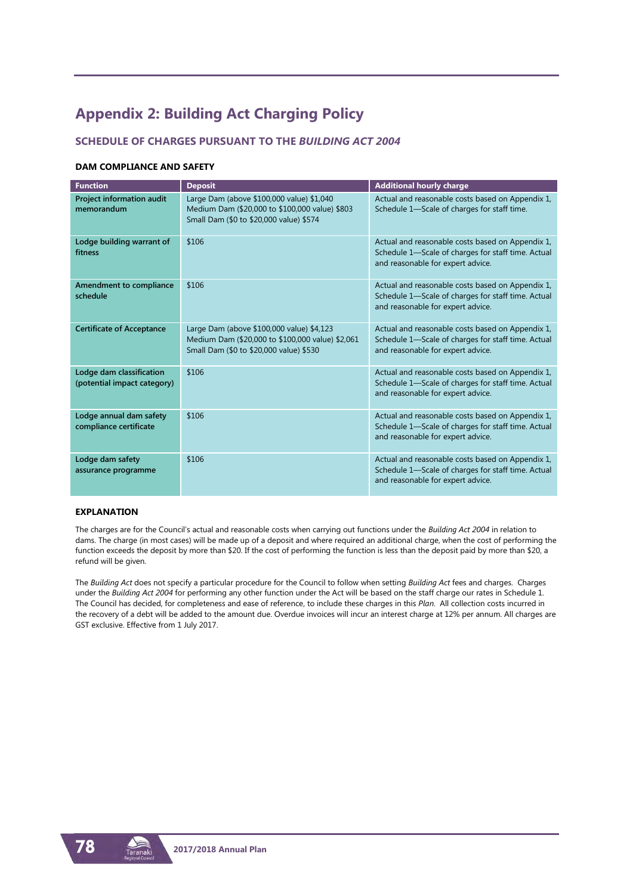## **Appendix 2: Building Act Charging Policy**

## **SCHEDULE OF CHARGES PURSUANT TO THE** *BUILDING ACT 2004*

#### **DAM COMPLIANCE AND SAFETY**

| <b>Function</b>                                         | <b>Deposit</b>                                                                                                                           | <b>Additional hourly charge</b>                                                                                                             |
|---------------------------------------------------------|------------------------------------------------------------------------------------------------------------------------------------------|---------------------------------------------------------------------------------------------------------------------------------------------|
| Project information audit<br>memorandum                 | Large Dam (above \$100,000 value) \$1,040<br>Medium Dam (\$20,000 to \$100,000 value) \$803<br>Small Dam (\$0 to \$20,000 value) \$574   | Actual and reasonable costs based on Appendix 1,<br>Schedule 1-Scale of charges for staff time.                                             |
| Lodge building warrant of<br>fitness                    | \$106                                                                                                                                    | Actual and reasonable costs based on Appendix 1,<br>Schedule 1-Scale of charges for staff time. Actual<br>and reasonable for expert advice. |
| Amendment to compliance<br>schedule                     | \$106                                                                                                                                    | Actual and reasonable costs based on Appendix 1,<br>Schedule 1-Scale of charges for staff time. Actual<br>and reasonable for expert advice. |
| <b>Certificate of Acceptance</b>                        | Large Dam (above \$100,000 value) \$4,123<br>Medium Dam (\$20,000 to \$100,000 value) \$2,061<br>Small Dam (\$0 to \$20,000 value) \$530 | Actual and reasonable costs based on Appendix 1,<br>Schedule 1-Scale of charges for staff time. Actual<br>and reasonable for expert advice. |
| Lodge dam classification<br>(potential impact category) | \$106                                                                                                                                    | Actual and reasonable costs based on Appendix 1,<br>Schedule 1-Scale of charges for staff time. Actual<br>and reasonable for expert advice. |
| Lodge annual dam safety<br>compliance certificate       | \$106                                                                                                                                    | Actual and reasonable costs based on Appendix 1,<br>Schedule 1-Scale of charges for staff time. Actual<br>and reasonable for expert advice. |
| Lodge dam safety<br>assurance programme                 | \$106                                                                                                                                    | Actual and reasonable costs based on Appendix 1,<br>Schedule 1-Scale of charges for staff time. Actual<br>and reasonable for expert advice. |

#### **EXPLANATION**

The charges are for the Council's actual and reasonable costs when carrying out functions under the *Building Act 2004* in relation to dams. The charge (in most cases) will be made up of a deposit and where required an additional charge, when the cost of performing the function exceeds the deposit by more than \$20. If the cost of performing the function is less than the deposit paid by more than \$20, a refund will be given.

The *Building Act* does not specify a particular procedure for the Council to follow when setting *Building Act* fees and charges. Charges under the *Building Act 2004* for performing any other function under the Act will be based on the staff charge our rates in Schedule 1. The Council has decided, for completeness and ease of reference, to include these charges in this *Plan*. All collection costs incurred in the recovery of a debt will be added to the amount due. Overdue invoices will incur an interest charge at 12% per annum. All charges are GST exclusive. Effective from 1 July 2017.



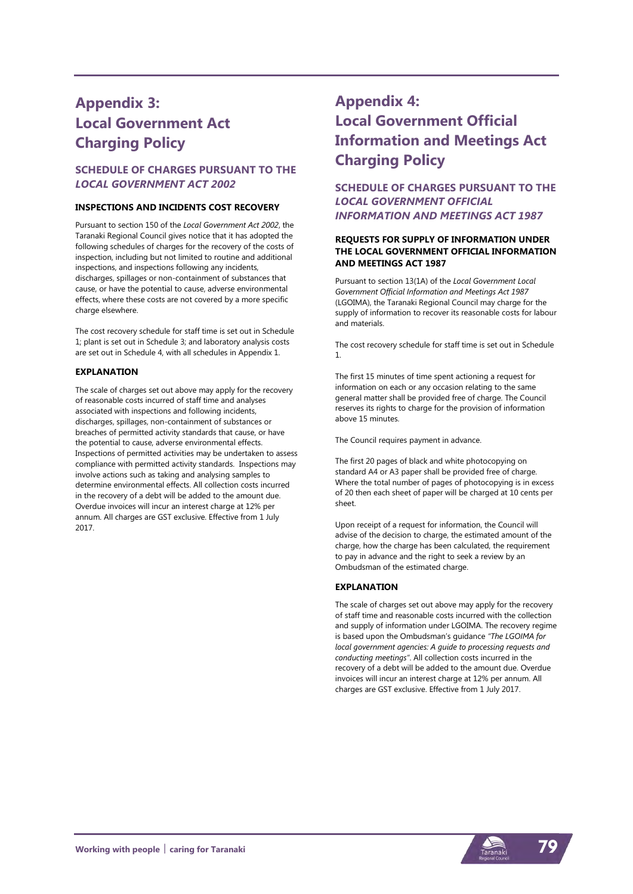## **Appendix 3: Local Government Act Charging Policy**

## **SCHEDULE OF CHARGES PURSUANT TO THE**  *LOCAL GOVERNMENT ACT 2002*

#### **INSPECTIONS AND INCIDENTS COST RECOVERY**

Pursuant to section 150 of the *Local Government Act 2002*, the Taranaki Regional Council gives notice that it has adopted the following schedules of charges for the recovery of the costs of inspection, including but not limited to routine and additional inspections, and inspections following any incidents, discharges, spillages or non-containment of substances that cause, or have the potential to cause, adverse environmental effects, where these costs are not covered by a more specific charge elsewhere.

The cost recovery schedule for staff time is set out in Schedule 1; plant is set out in Schedule 3; and laboratory analysis costs are set out in Schedule 4, with all schedules in Appendix 1.

#### **EXPLANATION**

The scale of charges set out above may apply for the recovery of reasonable costs incurred of staff time and analyses associated with inspections and following incidents, discharges, spillages, non-containment of substances or breaches of permitted activity standards that cause, or have the potential to cause, adverse environmental effects. Inspections of permitted activities may be undertaken to assess compliance with permitted activity standards. Inspections may involve actions such as taking and analysing samples to determine environmental effects. All collection costs incurred in the recovery of a debt will be added to the amount due. Overdue invoices will incur an interest charge at 12% per annum. All charges are GST exclusive. Effective from 1 July 2017.

## **Appendix 4: Local Government Official Information and Meetings Act Charging Policy**

**SCHEDULE OF CHARGES PURSUANT TO THE**  *LOCAL GOVERNMENT OFFICIAL INFORMATION AND MEETINGS ACT 1987*

#### **REQUESTS FOR SUPPLY OF INFORMATION UNDER THE LOCAL GOVERNMENT OFFICIAL INFORMATION AND MEETINGS ACT 1987**

Pursuant to section 13(1A) of the *Local Government Local Government Official Information and Meetings Act 1987* (LGOIMA), the Taranaki Regional Council may charge for the supply of information to recover its reasonable costs for labour and materials.

The cost recovery schedule for staff time is set out in Schedule 1.

The first 15 minutes of time spent actioning a request for information on each or any occasion relating to the same general matter shall be provided free of charge. The Council reserves its rights to charge for the provision of information above 15 minutes.

The Council requires payment in advance.

The first 20 pages of black and white photocopying on standard A4 or A3 paper shall be provided free of charge. Where the total number of pages of photocopying is in excess of 20 then each sheet of paper will be charged at 10 cents per sheet.

Upon receipt of a request for information, the Council will advise of the decision to charge, the estimated amount of the charge, how the charge has been calculated, the requirement to pay in advance and the right to seek a review by an Ombudsman of the estimated charge.

#### **EXPLANATION**

The scale of charges set out above may apply for the recovery of staff time and reasonable costs incurred with the collection and supply of information under LGOIMA. The recovery regime is based upon the Ombudsman's guidance *"The LGOIMA for local government agencies: A guide to processing requests and conducting meetings"*. All collection costs incurred in the recovery of a debt will be added to the amount due. Overdue invoices will incur an interest charge at 12% per annum. All charges are GST exclusive. Effective from 1 July 2017.